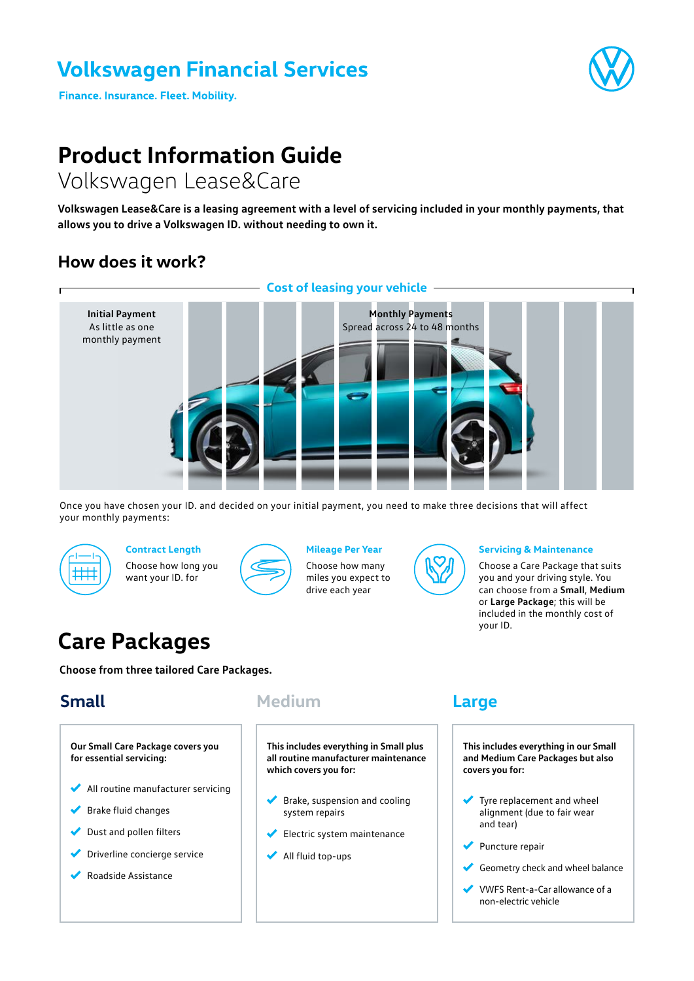## **Volkswagen Financial Services**

**Finance. Insurance. Fleet. Mobility.** 

# **Product Information Guide**

## Volkswagen Lease&Care

**Volkswagen Lease&Care is a leasing agreement with a level of servicing included in your monthly payments, that allows you to drive a Volkswagen ID. without needing to own it.**

### **How does it work?**



Once you have chosen your ID. and decided on your initial payment, you need to make three decisions that will affect your monthly payments:



**Contract Length** Choose how long you want your ID. for



**Mileage Per Year** 

Choose how many miles you expect to drive each year



#### **Servicing & Maintenance**

Choose a Care Package that suits you and your driving style. You can choose from a **Small**, **Medium** or **Large Package**; this will be included in the monthly cost of your ID.

## **Care Packages**

**Choose from three tailored Care Packages.**

### **Small**

**Our Small Care Package covers you for essential servicing:** All routine manufacturer servicing Brake fluid changes Dust and pollen filters Driverline concierge service

Roadside Assistance

**Medium**

**This includes everything in Small plus all routine manufacturer maintenance which covers you for:**

- $\blacktriangleright$  Brake, suspension and cooling system repairs
- Electric system maintenance
- $\blacklozenge$  All fluid top-ups

### **Large**

**This includes everything in our Small and Medium Care Packages but also covers you for:**

- Tyre replacement and wheel alignment (due to fair wear and tear)
- ◆ Puncture repair
- Geometry check and wheel balance
- VWFS Rent-a-Car allowance of a non-electric vehicle